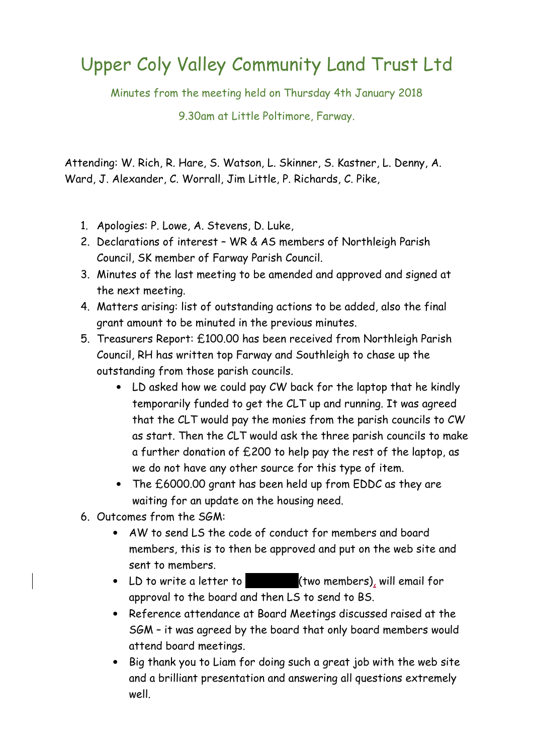## Upper Coly Valley Community Land Trust Ltd

Minutes from the meeting held on Thursday 4th January 2018

9.30am at Little Poltimore, Farway.

Attending: W. Rich, R. Hare, S. Watson, L. Skinner, S. Kastner, L. Denny, A. Ward, J. Alexander, C. Worrall, Jim Little, P. Richards, C. Pike,

- 1. Apologies: P. Lowe, A. Stevens, D. Luke,
- 2. Declarations of interest WR & AS members of Northleigh Parish Council, SK member of Farway Parish Council.
- 3. Minutes of the last meeting to be amended and approved and signed at the next meeting.
- 4. Matters arising: list of outstanding actions to be added, also the final grant amount to be minuted in the previous minutes.
- 5. Treasurers Report: £100.00 has been received from Northleigh Parish Council, RH has written top Farway and Southleigh to chase up the outstanding from those parish councils.
	- LD asked how we could pay CW back for the laptop that he kindly temporarily funded to get the CLT up and running. It was agreed that the CLT would pay the monies from the parish councils to CW as start. Then the CLT would ask the three parish councils to make a further donation of £200 to help pay the rest of the laptop, as we do not have any other source for this type of item.
	- The £6000.00 grant has been held up from EDDC as they are waiting for an update on the housing need.
- 6. Outcomes from the SGM:
	- AW to send LS the code of conduct for members and board members, this is to then be approved and put on the web site and sent to members.
	- LD to write a letter to **BS** (two members), will email for approval to the board and then LS to send to BS.
	- Reference attendance at Board Meetings discussed raised at the SGM – it was agreed by the board that only board members would attend board meetings.
	- Big thank you to Liam for doing such a great job with the web site and a brilliant presentation and answering all questions extremely well.